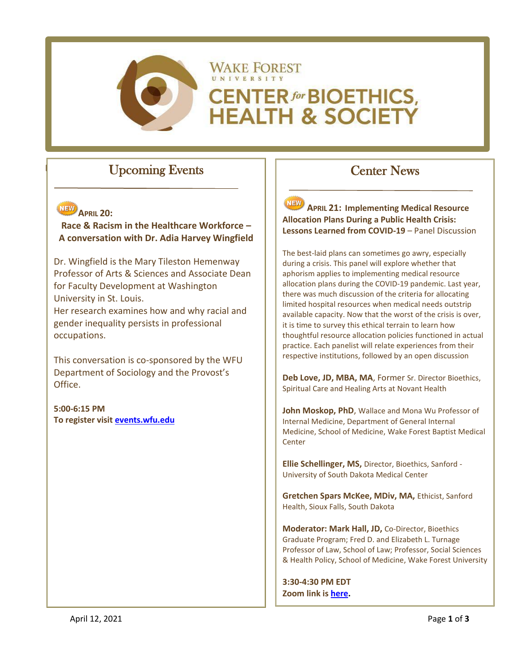

# **WAKE FOREST CENTER for BIOETHICS, HEALTH & SOCIETY**

# Upcoming Events



**Race & Racism in the Healthcare Workforce – A conversation with Dr. Adia Harvey Wingfield**

Dr. Wingfield is the Mary Tileston Hemenway Professor of Arts & Sciences and Associate Dean for Faculty Development at Washington University in St. Louis.

Her research examines how and why racial and gender inequality persists in professional occupations.

This conversation is co-sponsored by the WFU Department of Sociology and the Provost's Office.

**5:00-6:15 PM To register visit [events.wfu.edu](https://events.wfu.edu/event/race_and_racism_in_the_healthcare_workforce_a_conversation_with_dr_adia_harvey_wingfield#.YGdBEz8pA2x)**

# Center News

**APRIL 21: Implementing Medical Resource Allocation Plans During a Public Health Crisis: Lessons Learned from COVID-19** – Panel Discussion

The best-laid plans can sometimes go awry, especially during a crisis. This panel will explore whether that aphorism applies to implementing medical resource allocation plans during the COVID-19 pandemic. Last year, there was much discussion of the criteria for allocating limited hospital resources when medical needs outstrip available capacity. Now that the worst of the crisis is over, it is time to survey this ethical terrain to learn how thoughtful resource allocation policies functioned in actual practice. Each panelist will relate experiences from their respective institutions, followed by an open discussion

**Deb Love, JD, MBA, MA**, Former Sr. Director Bioethics, Spiritual Care and Healing Arts at Novant Health

**John Moskop, PhD**, Wallace and Mona Wu Professor of Internal Medicine, Department of General Internal Medicine, School of Medicine, Wake Forest Baptist Medical **Center** 

**Ellie Schellinger, MS,** Director, Bioethics, Sanford - University of South Dakota Medical Center

**Gretchen Spars McKee, MDiv, MA,** Ethicist, Sanford Health, Sioux Falls, South Dakota

**Moderator: Mark Hall, JD,** Co-Director, Bioethics Graduate Program; Fred D. and Elizabeth L. Turnage Professor of Law, School of Law; Professor, Social Sciences & Health Policy, School of Medicine, Wake Forest University

**3:30-4:30 PM EDT Zoom link is [here.](https://wakeforest-university.zoom.us/j/94054571661?pwd=UCtGQlFleXFZdnZtUXEweWVhR0ZsZz09)**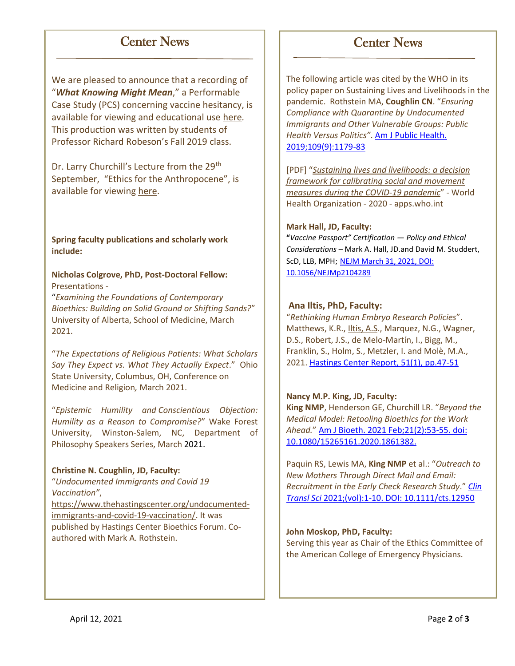## Center News

We are pleased to announce that a recording of "*What Knowing Might Mean*," a Performable Case Study (PCS) concerning vaccine hesitancy, is available for viewing and educational use [here](https://bioethics.wfu.edu/a-performable-case-study-what-knowing-might-mean-inspired-by-vaccine-hesitancy-issues-2/)*.* This production was written by students of Professor Richard Robeson's Fall 2019 class.

Dr. Larry Churchill's Lecture from the 29<sup>th</sup> September, "Ethics for the Anthropocene", is available for viewing [here.](https://bioethics.wfu.edu/speaker-series/)

**Spring faculty publications and scholarly work include:**

**Nicholas Colgrove, PhD, Post-Doctoral Fellow:** Presentations -

"*Examining the Foundations of Contemporary Bioethics: Building on Solid Ground or Shifting Sands?*" University of Alberta, School of Medicine, March 2021.

"*The Expectations of Religious Patients: What Scholars Say They Expect vs. What They Actually Expect*." Ohio State University, Columbus, OH, Conference on Medicine and Religion*,* March 2021.

"*Epistemic Humility and Conscientious Objection: Humility as a Reason to Compromise?*" Wake Forest University, Winston-Salem, NC, Department of Philosophy Speakers Series, March 2021.

#### **Christine N. Coughlin, JD, Faculty:**

"*Undocumented Immigrants and Covid 19 Vaccination"*, [https://www.thehastingscenter.org/undocumented](https://www.thehastingscenter.org/undocumented-immigrants-and-covid-19-vaccination/)[immigrants-and-covid-19-vaccination/.](https://www.thehastingscenter.org/undocumented-immigrants-and-covid-19-vaccination/) It was published by Hastings Center Bioethics Forum. Coauthored with Mark A. Rothstein.

The following article was cited by the WHO in its policy paper on Sustaining Lives and Livelihoods in the pandemic. Rothstein MA, **Coughlin CN**. "*Ensuring Compliance with Quarantine by Undocumented Immigrants and Other Vulnerable Groups: Public Health Versus Politics"*. [Am J Public Health.](https://ajph.aphapublications.org/action/doSearch?SeriesKey=ajph&AllField=Ensuring+Compliance+with+Quarantine+by+Undocumented+Immigrants+and+Other+Vulnerable+Groups%3A+Public+Health+Versus+Politics&ConceptID=)  [2019;109\(9\):1179-83](https://ajph.aphapublications.org/action/doSearch?SeriesKey=ajph&AllField=Ensuring+Compliance+with+Quarantine+by+Undocumented+Immigrants+and+Other+Vulnerable+Groups%3A+Public+Health+Versus+Politics&ConceptID=)

Center News

[PDF] "*[Sustaining lives and livelihoods: a decision](https://apps.who.int/iris/bitstream/handle/10665/339598/9789240017948-eng.pdf?sequence=1)  [framework for calibrating social and movement](https://apps.who.int/iris/bitstream/handle/10665/339598/9789240017948-eng.pdf?sequence=1)  [measures during the COVID-19 pandemic](https://apps.who.int/iris/bitstream/handle/10665/339598/9789240017948-eng.pdf?sequence=1)*" - World Health Organization - 2020 - apps.who.int

#### **Mark Hall, JD, Faculty:**

**"***Vaccine Passport" Certification — Policy and Ethical Considerations –* Mark A. Hall, JD.and David M. Studdert, ScD, LLB, MPH; [NEJM March 31, 2021, DOI:](https://www.nejm.org/doi/full/10.1056/NEJMp2104289)  [10.1056/NEJMp2104289](https://www.nejm.org/doi/full/10.1056/NEJMp2104289)

#### **Ana Iltis, PhD, Faculty:**

"*Rethinking Human Embryo Research Policies*". Matthews, K.R., Iltis, A.S., Marquez, N.G., Wagner, D.S., Robert, J.S., de Melo‐Martín, I., Bigg, M., Franklin, S., Holm, S., Metzler, I. and Molè, M.A., 2021. [Hastings Center Report,](https://onlinelibrary.wiley.com/doi/full/10.1002/hast.1215) 51(1), pp.47-51

#### **Nancy M.P. King, JD, Faculty:**

**King NMP**, Henderson GE, Churchill LR. "*Beyond the Medical Model: Retooling Bioethics for the Work Ahead.*" [Am J Bioeth. 2021 Feb;21\(2\):53-55. doi:](https://pubmed.ncbi.nlm.nih.gov/33534685/)  [10.1080/15265161.2020.1861382.](https://pubmed.ncbi.nlm.nih.gov/33534685/)

Paquin RS, Lewis MA, **King NMP** et al.: "*Outreach to New Mothers Through Direct Mail and Email: Recruitment in the Early Check Research Study*." *[Clin](https://ascpt.onlinelibrary.wiley.com/doi/full/10.1111/cts.12950)  Transl Sci* [2021;\(vol\):1-10. DOI: 10.1111/cts.12950](https://ascpt.onlinelibrary.wiley.com/doi/full/10.1111/cts.12950)

#### **John Moskop, PhD, Faculty:**

Serving this year as Chair of the Ethics Committee of the American College of Emergency Physicians.